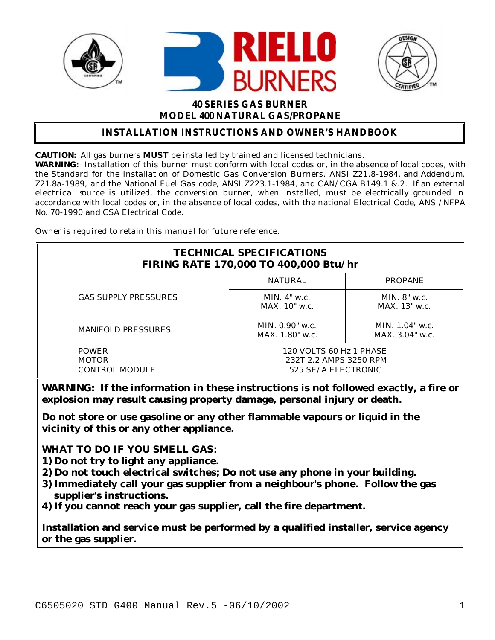





# **40 SERIES GAS BURNER MODEL 400 NATURAL GAS/PROPANE**

# **INSTALLATION INSTRUCTIONS AND OWNER'S HANDBOOK**

**CAUTION:** All gas burners **MUST** be installed by trained and licensed technicians.

**WARNING:** Installation of this burner must conform with local codes or, in the absence of local codes, with the Standard for the Installation of Domestic Gas Conversion Burners, ANSI Z21.8-1984, and Addendum, Z21.8a-1989, and the National Fuel Gas code, ANSI Z223.1-1984, and CAN/CGA B149.1 &.2. If an external electrical source is utilized, the conversion burner, when installed, must be electrically grounded in accordance with local codes or, in the absence of local codes, with the national Electrical Code, ANSI/NFPA No. 70-1990 and CSA Electrical Code.

Owner is required to retain this manual for future reference.

| <b>TECHNICAL SPECIFICATIONS</b><br>FIRING RATE 170,000 TO 400,000 Btu/hr |                                                                          |                                         |  |
|--------------------------------------------------------------------------|--------------------------------------------------------------------------|-----------------------------------------|--|
|                                                                          | NATURAL                                                                  | <b>PROPANE</b>                          |  |
| <b>GAS SUPPLY PRESSURES</b>                                              | MIN. $4"$ w.c.<br>MAX. 10" w.c.                                          | MIN. $8"$ w.c.<br>$MAX. 13"$ w.c.       |  |
| <b>MANIFOLD PRESSURES</b>                                                | MIN, $0.90$ " w.c.<br>$MAX. 1.80"$ w.c.                                  | MIN. $1.04$ " w.c.<br>$MAX. 3.04"$ w.c. |  |
| POWER<br><b>MOTOR</b><br><b>CONTROL MODULE</b>                           | 120 VOLTS 60 Hz 1 PHASE<br>232T 2.2 AMPS 3250 RPM<br>525 SE/A ELECTRONIC |                                         |  |

**WARNING: If the information in these instructions is not followed exactly, a fire or explosion may result causing property damage, personal injury or death.**

**Do not store or use gasoline or any other flammable vapours or liquid in the vicinity of this or any other appliance.**

**WHAT TO DO IF YOU SMELL GAS:**

- **1) Do not try to light any appliance.**
- **2) Do not touch electrical switches; Do not use any phone in your building.**
- **3) Immediately call your gas supplier from a neighbour's phone. Follow the gas supplier's instructions.**
- **4) If you cannot reach your gas supplier, call the fire department.**

**Installation and service must be performed by a qualified installer, service agency or the gas supplier.**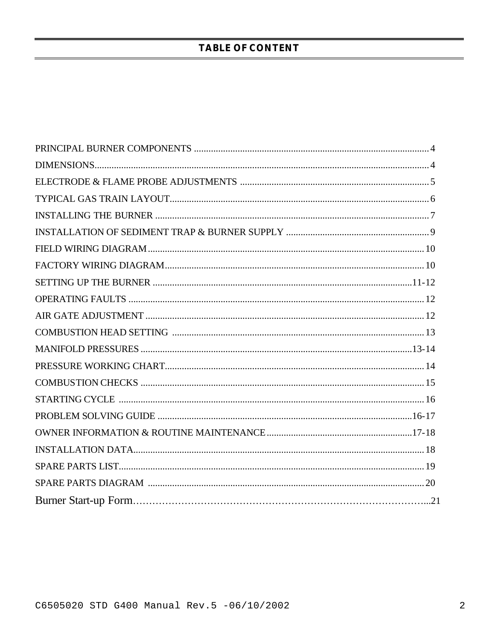# **TABLE OF CONTENT**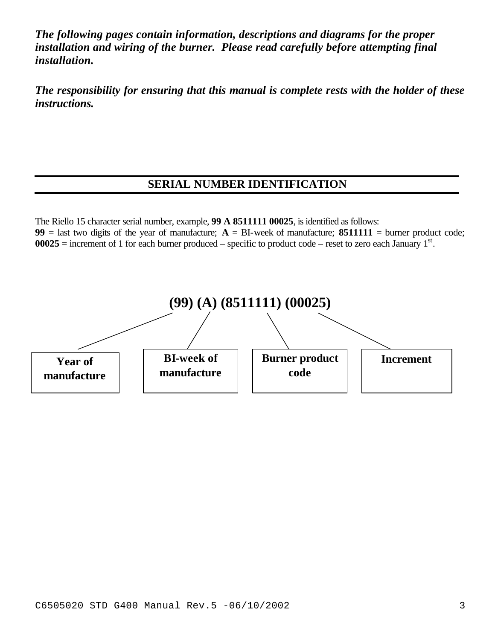*The following pages contain information, descriptions and diagrams for the proper*  installation and wiring of the burner. Please read carefully before attempting final *installation.*

*The responsibility for ensuring that this manual is complete rests with the holder of these instructions.*

# **SERIAL NUMBER IDENTIFICATION**

The Riello 15 character serial number, example, **99 A 8511111 00025**, is identified as follows: **99** = last two digits of the year of manufacture;  $A = BI$ -week of manufacture; **8511111** = burner product code;  $00025$  = increment of 1 for each burner produced – specific to product code – reset to zero each January  $1<sup>st</sup>$ .

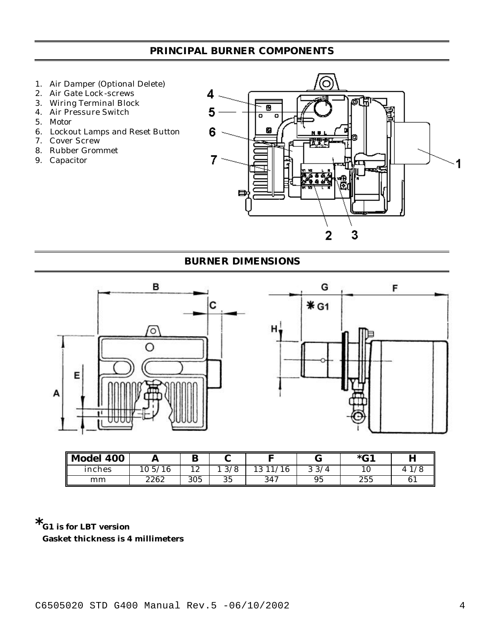# **PRINCIPAL BURNER COMPONENTS**

- 1. Air Damper (Optional Delete)
- 2. Air Gate Lock-screws
- 3. Wiring Terminal Block
- 4. Air Pressure Switch
- 5. Motor
- 6. Lockout Lamps and Reset Button
- 7. Cover Screw
- 8. Rubber Grommet
- 9. Capacitor



#### **BURNER DIMENSIONS**



| Model 400 | л           | D                 |                               |     |      | $*$ G1 | п<br>л |
|-----------|-------------|-------------------|-------------------------------|-----|------|--------|--------|
| inches    | 10.5/<br>16 | 1 ດ<br>$\sqrt{2}$ | /8<br>$\Omega$<br>$\bm{\cup}$ |     | 33/4 |        |        |
| mm        | 2262        | 305               | 35                            | 347 | 95   | 255    | 61     |

**\*G1 is for LBT version Gasket thickness is 4 millimeters**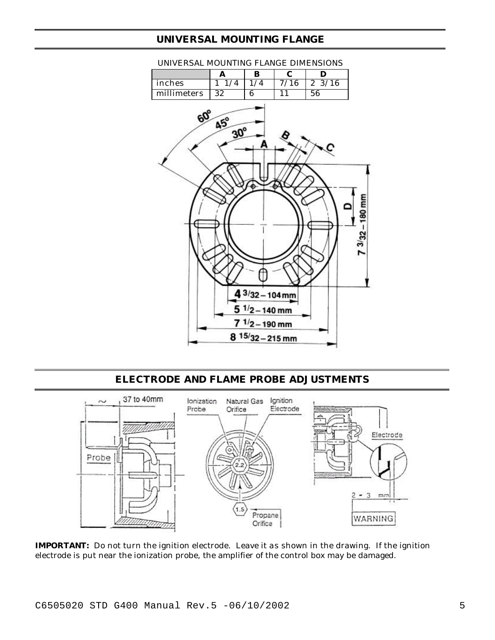## **UNIVERSAL MOUNTING FLANGE**



#### UNIVERSAL MOUNTING FLANGE DIMENSIONS

#### **ELECTRODE AND FLAME PROBE ADJUSTMENTS**



**IMPORTANT:** Do not turn the ignition electrode. Leave it as shown in the drawing. If the ignition electrode is put near the ionization probe, the amplifier of the control box may be damaged.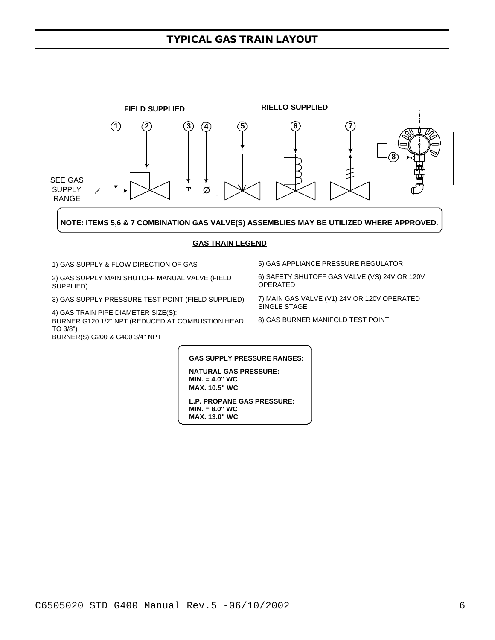#### **TYPICAL GAS TRAIN LAYOUT**



3) GAS SUPPLY PRESSURE TEST POINT (FIELD SUPPLIED)

4) GAS TRAIN PIPE DIAMETER SIZE(S): BURNER G120 1/2" NPT (REDUCED AT COMBUSTION HEAD TO 3/8")

BURNER(S) G200 & G400 3/4" NPT

OPERATED

7) MAIN GAS VALVE (V1) 24V OR 120V OPERATED SINGLE STAGE

8) GAS BURNER MANIFOLD TEST POINT

**GAS SUPPLY PRESSURE RANGES:**

**NATURAL GAS PRESSURE: MIN. = 4.0" WC MAX. 10.5" WC**

**L.P. PROPANE GAS PRESSURE: MIN. = 8.0" WC MAX. 13.0" WC**

C6505020 STD G400 Manual Rev.5 -06/10/2002 6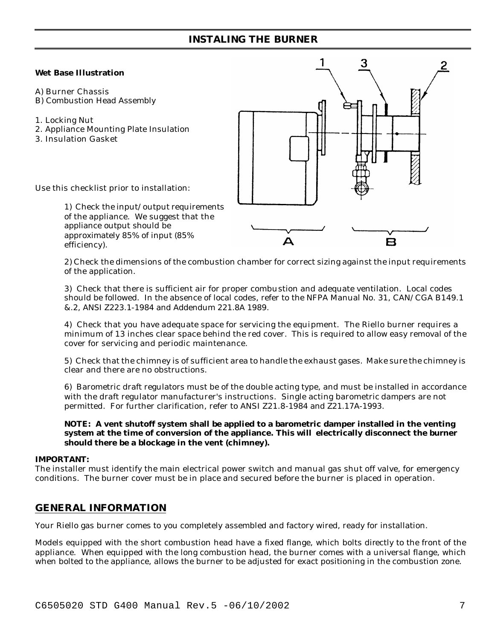### **INSTALING THE BURNER**

#### **Wet Base Illustration**

- A) Burner Chassis
- B) Combustion Head Assembly
- 1. Locking Nut
- 2. Appliance Mounting Plate Insulation
- 3. Insulation Gasket



Use this checklist prior to installation:

1) Check the input/output requirements of the appliance. We suggest that the appliance output should be approximately 85% of input (85% efficiency).

2) Check the dimensions of the combustion chamber for correct sizing against the input requirements of the application.

3) Check that there is sufficient air for proper combustion and adequate ventilation. Local codes should be followed. In the absence of local codes, refer to the NFPA Manual No. 31, CAN/CGA B149.1 &.2, ANSI Z223.1-1984 and Addendum 221.8A 1989.

4) Check that you have adequate space for servicing the equipment. The Riello burner requires a minimum of 13 inches clear space behind the red cover. This is required to allow easy removal of the cover for servicing and periodic maintenance.

5) Check that the chimney is of sufficient area to handle the exhaust gases. Make sure the chimney is clear and there are no obstructions.

6) Barometric draft regulators must be of the double acting type, and must be installed in accordance with the draft regulator manufacturer's instructions. Single acting barometric dampers are not permitted. For further clarification, refer to ANSI Z21.8-1984 and Z21.17A-1993.

#### **NOTE: A vent shutoff system shall be applied to a barometric damper installed in the venting system at the time of conversion of the appliance. This will electrically disconnect the burner should there be a blockage in the vent (chimney).**

#### **IMPORTANT:**

The installer must identify the main electrical power switch and manual gas shut off valve, for emergency conditions. The burner cover must be in place and secured before the burner is placed in operation.

#### **GENERAL INFORMATION**

Your Riello gas burner comes to you completely assembled and factory wired, ready for installation.

Models equipped with the short combustion head have a fixed flange, which bolts directly to the front of the appliance. When equipped with the long combustion head, the burner comes with a universal flange, which when bolted to the appliance, allows the burner to be adjusted for exact positioning in the combustion zone.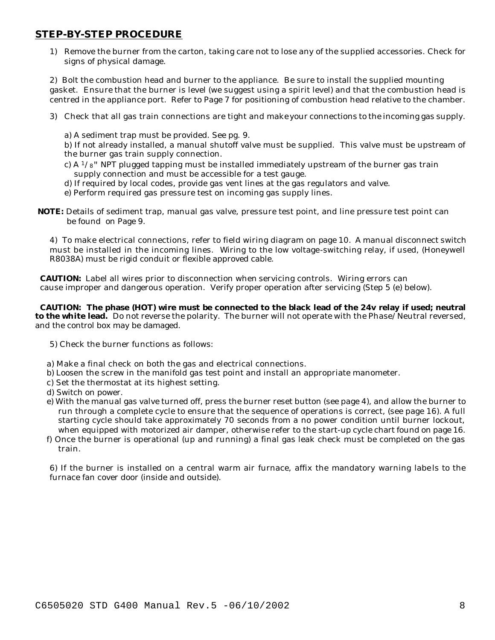#### **STEP-BY-STEP PROCEDURE**

1) Remove the burner from the carton, taking care not to lose any of the supplied accessories. Check for signs of physical damage.

2) Bolt the combustion head and burner to the appliance. Be sure to install the supplied mounting gasket. Ensure that the burner is level (we suggest using a spirit level) and that the combustion head is centred in the appliance port. Refer to Page 7 for positioning of combustion head relative to the chamber.

- 3) Check that all gas train connections are tight and make your connections to the incoming gas supply.
	- a) A sediment trap must be provided. See pg. 9.

b) If not already installed, a manual shutoff valve must be supplied. This valve must be upstream of the burner gas train supply connection.

- c) A  $1/s$ " NPT plugged tapping must be installed immediately upstream of the burner gas train supply connection and must be accessible for a test gauge.
- d) If required by local codes, provide gas vent lines at the gas regulators and valve.
- e) Perform required gas pressure test on incoming gas supply lines.
- **NOTE:** Details of sediment trap, manual gas valve, pressure test point, and line pressure test point can be found on Page 9.

4) To make electrical connections, refer to field wiring diagram on page 10. A manual disconnect switch must be installed in the incoming lines. Wiring to the low voltage-switching relay, if used, (Honeywell R8038A) must be rigid conduit or flexible approved cable.

 **CAUTION:** Label all wires prior to disconnection when servicing controls. Wiring errors can cause improper and dangerous operation. Verify proper operation after servicing (Step 5 (e) below).

 **CAUTION: The phase (HOT) wire must be connected to the black lead of the 24v relay if used; neutral to the white lead.** Do not reverse the polarity. The burner will not operate with the Phase/Neutral reversed, and the control box may be damaged.

- 5) Check the burner functions as follows:
- a) Make a final check on both the gas and electrical connections.
- b) Loosen the screw in the manifold gas test point and install an appropriate manometer.
- c) Set the thermostat at its highest setting.
- d) Switch on power.
- e) With the manual gas valve turned off, press the burner reset button (see page 4), and allow the burner to run through a complete cycle to ensure that the sequence of operations is correct, (see page 16). A full starting cycle should take approximately 70 seconds from a no power condition until burner lockout, when equipped with motorized air damper, otherwise refer to the start-up cycle chart found on page 16.
- f) Once the burner is operational (up and running) a final gas leak check must be completed on the gas train.

6) If the burner is installed on a central warm air furnace, affix the mandatory warning labe ls to the furnace fan cover door (inside and outside).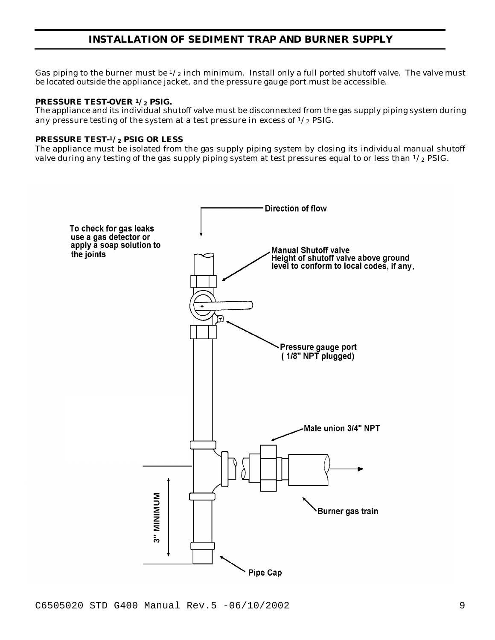# **INSTALLATION OF SEDIMENT TRAP AND BURNER SUPPLY**

Gas piping to the burner must be  $1/2$  inch minimum. Install only a full ported shutoff valve. The valve must be located outside the appliance jacket, and the pressure gauge port must be accessible.

#### **PRESSURE TEST-OVER 1/2 PSIG.**

The appliance and its individual shutoff valve must be disconnected from the gas supply piping system during any pressure testing of the system at a test pressure in excess of  $\frac{1}{2}$  PSIG.

#### **PRESSURE TEST-<sup>1</sup>/2 PSIG OR LESS**

The appliance must be isolated from the gas supply piping system by closing its individual manual shutoff valve during any testing of the gas supply piping system at test pressures equal to or less than  $\frac{1}{2}$  PSIG.

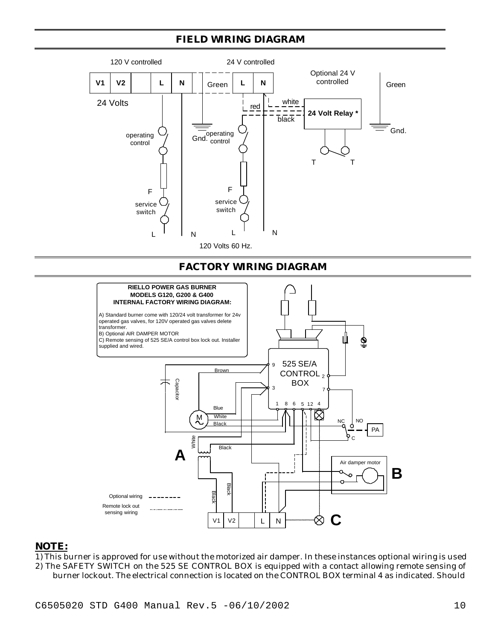# **FIELD WIRING DIAGRAM**



#### **NOTE:**

1) This burner is approved for use without the motorized air damper. In these instances optional wiring is used 2) The SAFETY SWITCH on the 525 SE CONTROL BOX is equipped with a contact allowing remote sensing of burner lockout. The electrical connection is located on the CONTROL BOX terminal 4 as indicated. Should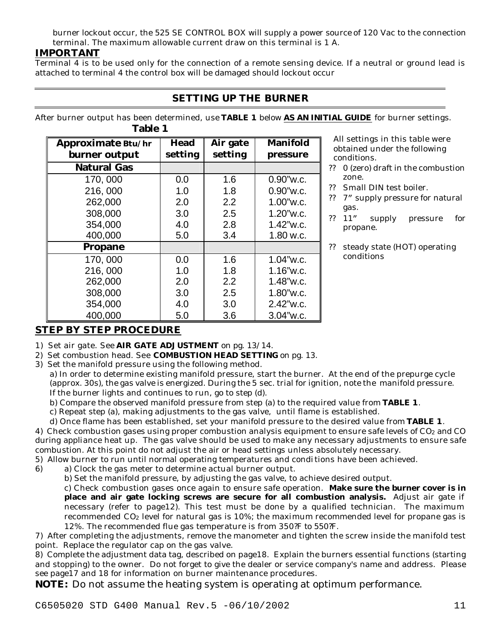burner lockout occur, the 525 SE CONTROL BOX will supply a power source of 120 Vac to the connection terminal. The maximum allowable current draw on this terminal is 1 A.

# **IMPORTANT**

Terminal 4 is to be used only for the connection of a remote sensing device. If a neutral or ground lead is attached to terminal 4 the control box will be damaged should lockout occur

# **SETTING UP THE BURNER**

After burner output has been determined, use **TABLE 1** below **AS AN INITIAL GUIDE** for burner settings. **Table 1**

| Approximate Btu/hr | <b>Head</b> | Air gate | <b>Manifold</b> |
|--------------------|-------------|----------|-----------------|
| burner output      | setting     | setting  | pressure        |
| <b>Natural Gas</b> |             |          |                 |
| 170,000            | 0.0         | 1.6      | $0.90$ "w.c.    |
| 216,000            | 1.0         | 1.8      | $0.90$ "w.c.    |
| 262,000            | 2.0         | 2.2      | $1.00$ "w.c.    |
| 308,000            | 3.0         | 2.5      | $1.20$ "w.c.    |
| 354,000            | 4.0         | 2.8      | $1.42$ "w.c.    |
| 400,000            | 5.0         | 3.4      | $1.80$ w.c.     |
| <b>Propane</b>     |             |          |                 |
| 170,000            | 0.0         | 1.6      | $1.04$ "w.c.    |
| 216,000            | 1.0         | 1.8      | $1.16$ "w.c.    |
| 262,000            | 2.0         | 2.2      | 1.48"w.c.       |
| 308,000            | 3.0         | 2.5      | 1.80"w.c.       |
| 354,000            | 4.0         | 3.0      | $2.42$ "w.c.    |
| 400,000            | 5.0         | 3.6      | 3.04"w.c.       |

 All settings in this table were obtained under the following conditions.

- ?? 0 (zero) draft in the combustion zone.
- ?? Small DIN test boiler.
- ?? 7" supply pressure for natural gas.
- ?? 11" supply pressure for propane.

?? steady state (HOT) operating conditions

# **STEP BY STEP PROCEDURE**

1) Set air gate. See **AIR GATE ADJUSTMENT** on pg. 13/14.

- 2) Set combustion head. See **COMBUSTION HEAD SETTING** on pg. 13.
- 3) Set the manifold pressure using the following method.

a) In order to determine existing manifold pressure, start the burner. At the end of the prepurge cycle (approx. 30s), the gas valve is energized. During the 5 sec. trial for ignition, note the manifold pressure. If the burner lights and continues to run, go to step (d).

b) Compare the observed manifold pressure from step (a) to the required value from **TABLE 1**.

c) Repeat step (a), making adjustments to the gas valve, until flame is established.

d) Once flame has been established, set your manifold pressure to the desired value from **TABLE 1**.

4) Check combustion gases using proper combustion analysis equipment to ensure safe levels of CO<sub>2</sub> and CO during appliance heat up. The gas valve should be used to make any necessary adjustments to ensure safe combustion. At this point do not adjust the air or head settings unless absolutely necessary.

5) Allow burner to run until normal operating temperatures and conditions have been achieved.

6) a) Clock the gas meter to determine actual burner output.

b) Set the manifold pressure, by adjusting the gas valve, to achieve desired output.

c) Check combustion gases once again to ensure safe operation. **Make sure the burner cover is in place and air gate locking screws are secure for all combustion analysis.** Adjust air gate if necessary (refer to page12). This test must be done by a qualified technician. The maximum recommended  $CO<sub>2</sub>$  level for natural gas is 10%; the maximum recommended level for propane gas is 12%. The recommended flue gas temperature is from 350?F to 550?F.

7) After completing the adjustments, remove the manometer and tighten the screw inside the manifold test point. Replace the regulator cap on the gas valve.

8) Complete the adjustment data tag, described on page18. Explain the burners essential functions (starting and stopping) to the owner. Do not forget to give the dealer or service company's name and address. Please see page17 and 18 for information on burner maintenance procedures.

**NOTE:** Do not assume the heating system is operating at optimum performance.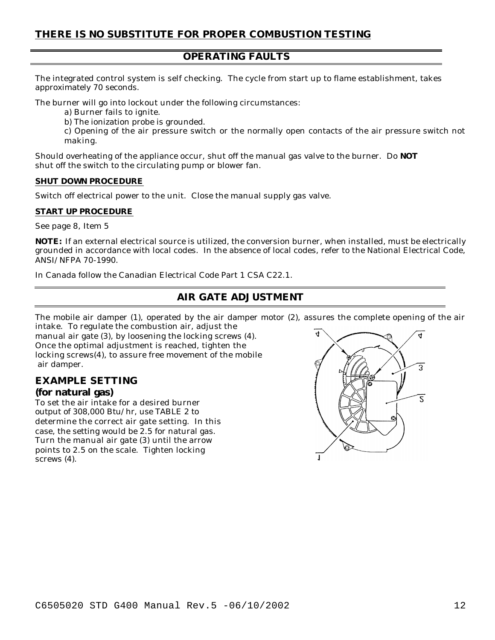#### **OPERATING FAULTS**

The integrated control system is self checking. The cycle from start up to flame establishment, takes approximately 70 seconds.

The burner will go into lockout under the following circumstances:

a) Burner fails to ignite.

b) The ionization probe is grounded.

c) Opening of the air pressure switch or the normally open contacts of the air pressure switch not making.

Should overheating of the appliance occur, shut off the manual gas valve to the burner. Do **NOT** shut off the switch to the circulating pump or blower fan.

#### **SHUT DOWN PROCEDURE**

Switch off electrical power to the unit. Close the manual supply gas valve.

#### **START UP PROCEDURE**

See page 8, Item 5

**NOTE:** If an external electrical source is utilized, the conversion burner, when installed, must be electrically grounded in accordance with local codes. In the absence of local codes, refer to the National Electrical Code, ANSI/NFPA 70-1990.

In Canada follow the Canadian Electrical Code Part 1 CSA C22.1.

# **AIR GATE ADJUSTMENT**

The mobile air damper (1), operated by the air damper motor (2), assures the complete opening of the air

intake. To regulate the combustion air, adjust the manual air gate (3), by loosening the locking screws (4). Once the optimal adjustment is reached, tighten the locking screws(4), to assure free movement of the mobile air damper.

#### **EXAMPLE SETTING (for natural gas)**

To set the air intake for a desired burner output of 308,000 Btu/hr, use TABLE 2 to determine the correct air gate setting. In this case, the setting would be 2.5 for natural gas. Turn the manual air gate (3) until the arrow points to 2.5 on the scale. Tighten locking screws  $(4)$ .

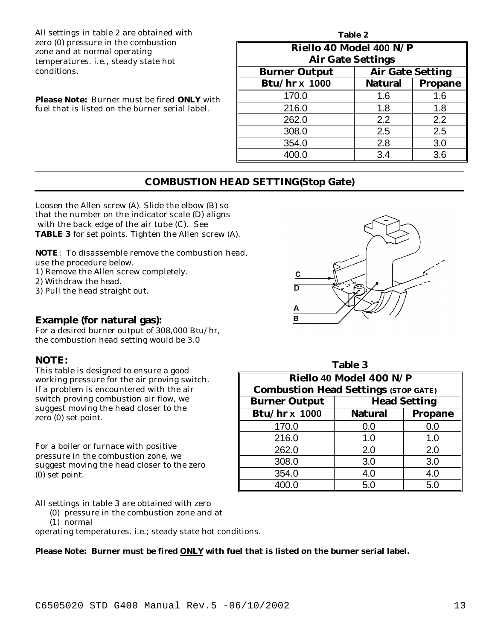All settings in table 2 are obtained with zero (0) pressure in the combustion zone and at normal operating temperatures. i.e., steady state hot conditions.

**Please Note:** Burner must be fired **ONLY** with fuel that is listed on the burner serial label.

| Table 2                  |                         |                |  |  |
|--------------------------|-------------------------|----------------|--|--|
| Riello 40 Model 400 N/P  |                         |                |  |  |
| <b>Air Gate Settings</b> |                         |                |  |  |
| <b>Burner Output</b>     | <b>Air Gate Setting</b> |                |  |  |
| <b>Btu/hr x 1000</b>     | <b>Natural</b>          | <b>Propane</b> |  |  |
| 170.0                    | 1.6                     | 1.6            |  |  |
| 216.0                    | 1.8                     | 1.8            |  |  |
| 262.0                    | 2.2                     | 2.2            |  |  |
| 308.0                    | 2.5                     | 2.5            |  |  |
| 354.0                    | 2.8                     | 3.0            |  |  |
| 400.0                    | 3.4                     | 3.6            |  |  |

#### **COMBUSTION HEAD SETTING(Stop Gate)**

Loosen the Allen screw (A). Slide the elbow (B) so that the number on the indicator scale (D) aligns with the back edge of the air tube (C). See **TABLE 3** for set points. Tighten the Allen screw (A).

**NOTE**: To disassemble remove the combustion head,

use the procedure below.

1) Remove the Allen screw completely.

2) Withdraw the head.

3) Pull the head straight out.

#### **Example (for natural gas):**

For a desired burner output of 308,000 Btu/hr, the combustion head setting would be 3.0

#### **NOTE:**

This table is designed to ensure a good working pressure for the air proving switch. If a problem is encountered with the air switch proving combustion air flow, we suggest moving the head closer to the zero (0) set point.

For a boiler or furnace with positive pressure in the combustion zone, we suggest moving the head closer to the zero (0) set point.

All settings in table 3 are obtained with zero

- (0) pressure in the combustion zone and at
- (1) normal

operating temperatures. i.e.; steady state hot conditions.

#### **Please Note: Burner must be fired ONLY with fuel that is listed on the burner serial label.**



| <b>Table 3</b>                              |                         |         |  |
|---------------------------------------------|-------------------------|---------|--|
|                                             | Riello 40 Model 400 N/P |         |  |
| <b>Combustion Head Settings (STOP GATE)</b> |                         |         |  |
| <b>Burner Output</b>                        | <b>Head Setting</b>     |         |  |
| <b>Btu/hr x 1000</b>                        | <b>Natural</b>          | Propane |  |
| 170.0                                       | 0.0                     | 0.0     |  |
| 216.0                                       | 1.0                     | 1.0     |  |
| 262.0                                       | 2.0                     | 2.0     |  |
| 308.0                                       | 3.0                     | 3.0     |  |
| 354.0                                       | 4.0                     | 4.0     |  |
| 400.0                                       | 5.0                     | 5.0     |  |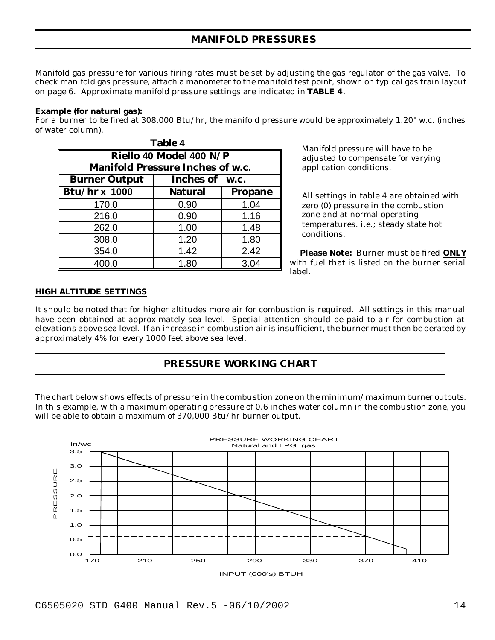# **MANIFOLD PRESSURES**

Manifold gas pressure for various firing rates must be set by adjusting the gas regulator of the gas valve. To check manifold gas pressure, attach a manometer to the manifold test point, shown on typical gas train layout on page 6. Approximate manifold pressure settings are indicated in **TABLE 4**.

#### **Example (for natural gas):**

For a burner to be fired at 308,000 Btu/hr, the manifold pressure would be approximately 1.20" w.c. (inches of water column).

| <b>Table 4</b>                          |                |                |  |
|-----------------------------------------|----------------|----------------|--|
| Riello 40 Model 400 N/P                 |                |                |  |
| <b>Manifold Pressure Inches of w.c.</b> |                |                |  |
| <b>Burner Output</b>                    | Inches of w.c. |                |  |
| <b>Btu/hr x 1000</b>                    | <b>Natural</b> | <b>Propane</b> |  |
| 170.0                                   | 0.90           | 1.04           |  |
| 216.0                                   | 0.90           | 1.16           |  |
| 262.0                                   | 1.00           | 1.48           |  |
| 308.0                                   | 1.20           | 1.80           |  |
| 354.0                                   | 1.42           | 2.42           |  |
| 400.0                                   | 1.80           | 3.04           |  |

 Manifold pressure will have to be adjusted to compensate for varying application conditions.

 All settings in table 4 are obtained with zero (0) pressure in the combustion zone and at normal operating temperatures. i.e.; steady state hot conditions.

 **Please Note:** Burner must be fired **ONLY** with fuel that is listed on the burner serial label.

#### **HIGH ALTITUDE SETTINGS**

It should be noted that for higher altitudes more air for combustion is required. All settings in this manual have been obtained at approximately sea level. Special attention should be paid to air for combustion at elevations above sea level. If an increase in combustion air is insufficient, the burner must then be derated by approximately 4% for every 1000 feet above sea level.

# **PRESSURE WORKING CHART**

The chart below shows effects of pressure in the combustion zone on the minimum/maximum burner outputs. In this example, with a maximum operating pressure of 0.6 inches water column in the combustion zone, you will be able to obtain a maximum of 370,000 Btu/hr burner output.

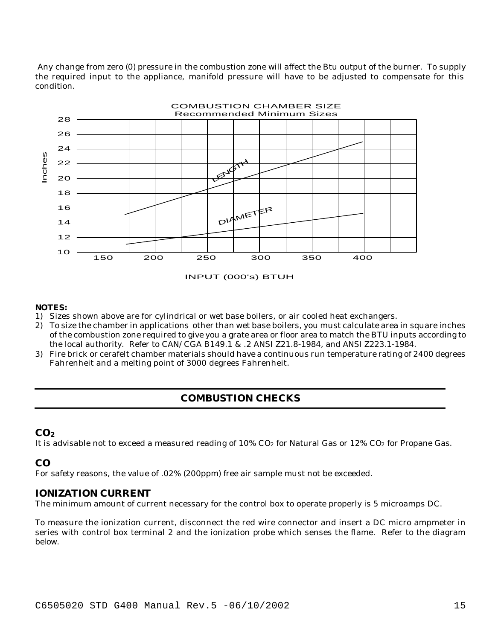Any change from zero (0) pressure in the combustion zone will affect the Btu output of the burner. To supply the required input to the appliance, manifold pressure will have to be adjusted to compensate for this condition.



INPUT (000's) BTUH

#### **NOTES:**

- 1) Sizes shown above are for cylindrical or wet base boilers, or air cooled heat exchangers.
- 2) To size the chamber in applications other than wet base boilers, you must calculate area in square inches of the combustion zone required to give you a grate area or floor area to match the BTU inputs according to the local authority. Refer to CAN/CGA B149.1 & .2 ANSI Z21.8-1984, and ANSI Z223.1-1984.
- 3) Fire brick or cerafelt chamber materials should have a continuous run temperature rating of 2400 degrees Fahrenheit and a melting point of 3000 degrees Fahrenheit.

## **COMBUSTION CHECKS**

#### **CO<sup>2</sup>**

It is advisable not to exceed a measured reading of  $10\%$  CO<sub>2</sub> for Natural Gas or  $12\%$  CO<sub>2</sub> for Propane Gas.

### **CO**

For safety reasons, the value of .02% (200ppm) free air sample must not be exceeded.

#### **IONIZATION CURRENT**

The minimum amount of current necessary for the control box to operate properly is 5 microamps DC.

To measure the ionization current, disconnect the red wire connector and insert a DC micro ampmeter in series with control box terminal 2 and the ionization probe which senses the flame. Refer to the diagram below.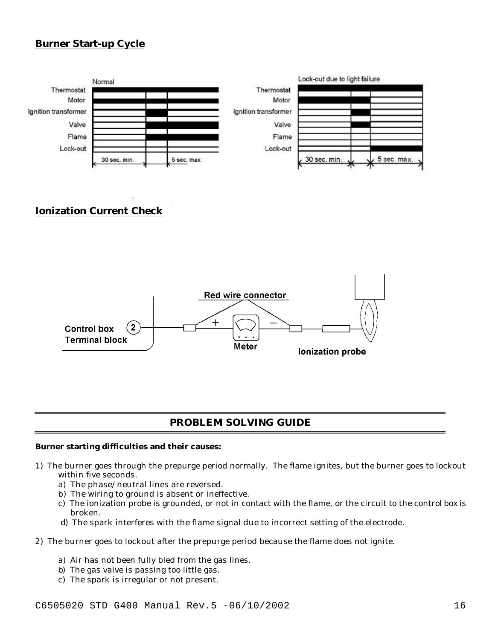# **Burner Start-up Cycle**



# **Ionization Current Check**



# **PROBLEM SOLVING GUIDE**

#### **Burner starting difficulties and their causes:**

- 1) The burner goes through the prepurge period normally. The flame ignites, but the burner goes to lockout within five seconds.
	- a) The phase/neutral lines are reversed.
	- b) The wiring to ground is absent or ineffective.
	- c) The ionization probe is grounded, or not in contact with the flame, or the circuit to the control box is broken.
	- d) The spark interferes with the flame signal due to incorrect setting of the electrode.
- 2) The burner goes to lockout after the prepurge period because the flame does not ignite.
	- a) Air has not been fully bled from the gas lines.
	- b) The gas valve is passing too little gas.
	- c) The spark is irregular or not present.

C6505020 STD G400 Manual Rev.5 -06/10/2002 16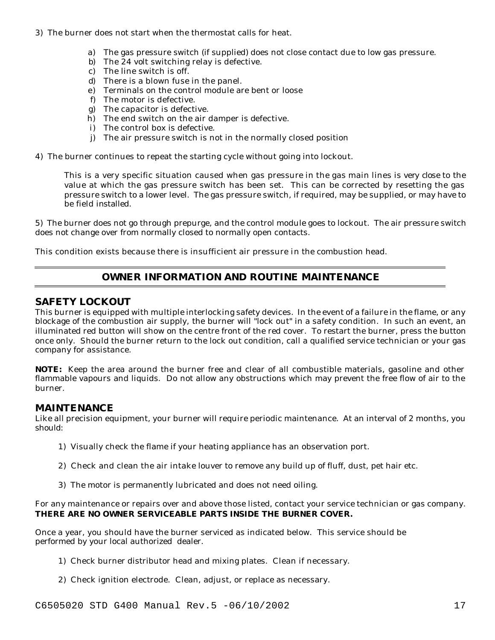- 3) The burner does not start when the thermostat calls for heat.
	- a) The gas pressure switch (if supplied) does not close contact due to low gas pressure.
	- b) The 24 volt switching relay is defective.
	- c) The line switch is off.
	- d) There is a blown fuse in the panel.
	- e) Terminals on the control module are bent or loose
	- f) The motor is defective.
	- g) The capacitor is defective.
	- h) The end switch on the air damper is defective.
	- i) The control box is defective.
	- j) The air pressure switch is not in the normally closed position
- 4) The burner continues to repeat the starting cycle without going into lockout.

This is a very specific situation caused when gas pressure in the gas main lines is *very close* to the value at which the gas pressure switch has been set. This can be corrected by resetting the gas pressure switch to a lower level. The gas pressure switch, if required, may be supplied, or may have to be field installed.

5) The burner does not go through prepurge, and the control module goes to lockout. The air pressure switch does not change over from normally closed to normally open contacts.

This condition exists because there is insufficient air pressure in the combustion head.

# **OWNER INFORMATION AND ROUTINE MAINTENANCE**

#### **SAFETY LOCKOUT**

This burner is equipped with multiple interlocking safety devices. In the event of a failure in the flame, or any blockage of the combustion air supply, the burner will "lock out" in a safety condition. In such an event, an illuminated red button will show on the centre front of the red cover. To restart the burner, press the button once only. Should the burner return to the lock out condition, call a qualified service technician or your gas company for assistance.

**NOTE:** Keep the area around the burner free and clear of all combustible materials, gasoline and other flammable vapours and liquids. Do not allow any obstructions which may prevent the free flow of air to the burner.

#### **MAINTENANCE**

Like all precision equipment, your burner will require periodic maintenance. At an interval of 2 months, you should:

- 1) Visually check the flame if your heating appliance has an observation port.
- 2) Check and clean the air intake louver to remove any build up of fluff, dust, pet hair etc.
- 3) The motor is permanently lubricated and does not need oiling.

#### For any maintenance or repairs over and above those listed, contact your service technician or gas company. **THERE ARE NO OWNER SERVICEABLE PARTS INSIDE THE BURNER COVER.**

Once a year, you should have the burner serviced as indicated below. This service should be performed by your local authorized dealer.

- 1) Check burner distributor head and mixing plates. Clean if necessary.
- 2) Check ignition electrode. Clean, adjust, or replace as necessary.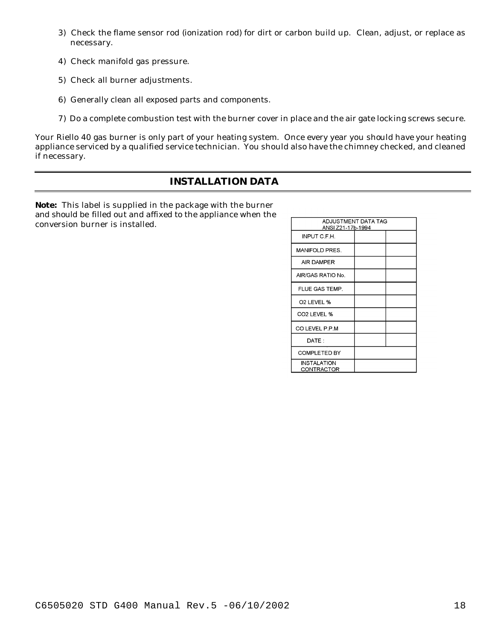- 3) Check the flame sensor rod (ionization rod) for dirt or carbon build up. Clean, adjust, or replace as necessary.
- 4) Check manifold gas pressure.
- 5) Check all burner adjustments.
- 6) Generally clean all exposed parts and components.
- 7) Do a complete combustion test with the burner cover in place and the air gate locking screws secure.

Your Riello 40 gas burner is only part of your heating system. Once every year you should have your heating appliance serviced by a qualified service technician. You should also have the chimney checked, and cleaned if necessary.

# **INSTALLATION DATA**

**Note:** This label is supplied in the package with the burner and should be filled out and affixed to the appliance when the conversion burner is installed.

| ADJUSTMENT DATA TAG<br>ANSI Z21-17b-1994 |  |  |
|------------------------------------------|--|--|
| INPUT C.F.H.                             |  |  |
| <b>MANIFOLD PRES.</b>                    |  |  |
| <b>AIR DAMPER</b>                        |  |  |
| AIR/GAS RATIO No.                        |  |  |
| FLUE GAS TEMP.                           |  |  |
| O <sub>2</sub> LEVEL %                   |  |  |
| CO <sub>2</sub> LEVEL %                  |  |  |
| CO LEVEL P.P.M                           |  |  |
| DATE:                                    |  |  |
| <b>COMPLETED BY</b>                      |  |  |
| INSTALATION<br>CONTRACTOR                |  |  |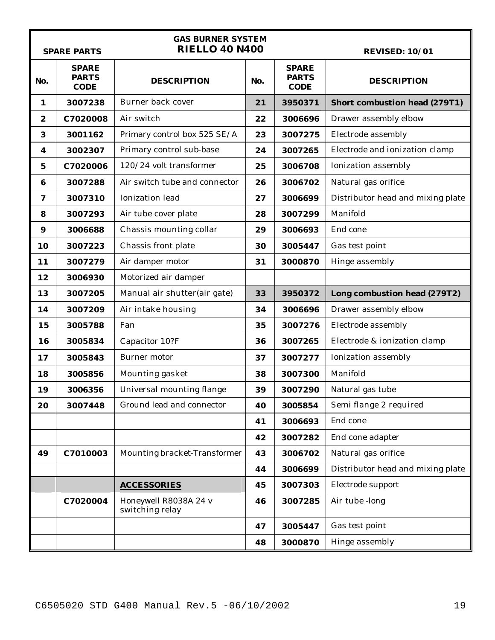|                  | <b>GAS BURNER SYSTEM</b><br><b>RIELLO 40 N400</b><br><b>REVISED: 10/01</b><br><b>SPARE PARTS</b> |                                          |     |                                             |                                      |  |
|------------------|--------------------------------------------------------------------------------------------------|------------------------------------------|-----|---------------------------------------------|--------------------------------------|--|
| No.              | <b>SPARE</b><br><b>PARTS</b><br><b>CODE</b>                                                      | <b>DESCRIPTION</b>                       | No. | <b>SPARE</b><br><b>PARTS</b><br><b>CODE</b> | <b>DESCRIPTION</b>                   |  |
| 1                | 3007238                                                                                          | Burner back cover                        | 21  | 3950371                                     | <b>Short combustion head (279T1)</b> |  |
| $\boldsymbol{2}$ | C7020008                                                                                         | Air switch                               | 22  | 3006696                                     | Drawer assembly elbow                |  |
| 3                | 3001162                                                                                          | Primary control box 525 SE/A             | 23  | 3007275                                     | Electrode assembly                   |  |
| 4                | 3002307                                                                                          | Primary control sub-base                 | 24  | 3007265                                     | Electrode and ionization clamp       |  |
| 5                | C7020006                                                                                         | 120/24 volt transformer                  | 25  | 3006708                                     | Ionization assembly                  |  |
| $\bf{6}$         | 3007288                                                                                          | Air switch tube and connector            | 26  | 3006702                                     | Natural gas orifice                  |  |
| 7                | 3007310                                                                                          | Ionization lead                          | 27  | 3006699                                     | Distributor head and mixing plate    |  |
| 8                | 3007293                                                                                          | Air tube cover plate                     | 28  | 3007299                                     | Manifold                             |  |
| $\boldsymbol{9}$ | 3006688                                                                                          | Chassis mounting collar                  | 29  | 3006693                                     | End cone                             |  |
| 10               | 3007223                                                                                          | Chassis front plate                      | 30  | 3005447                                     | Gas test point                       |  |
| 11               | 3007279                                                                                          | Air damper motor                         | 31  | 3000870                                     | Hinge assembly                       |  |
| 12               | 3006930                                                                                          | Motorized air damper                     |     |                                             |                                      |  |
| 13               | 3007205                                                                                          | Manual air shutter(air gate)             | 33  | 3950372                                     | Long combustion head (279T2)         |  |
| 14               | 3007209                                                                                          | Air intake housing                       | 34  | 3006696                                     | Drawer assembly elbow                |  |
| 15               | 3005788                                                                                          | Fan                                      | 35  | 3007276                                     | Electrode assembly                   |  |
| 16               | 3005834                                                                                          | Capacitor 10?F                           | 36  | 3007265                                     | Electrode & ionization clamp         |  |
| 17               | 3005843                                                                                          | Burner motor                             | 37  | 3007277                                     | Ionization assembly                  |  |
| 18               | 3005856                                                                                          | Mounting gasket                          | 38  | 3007300                                     | Manifold                             |  |
| 19               | 3006356                                                                                          | Universal mounting flange                | 39  | 3007290                                     | Natural gas tube                     |  |
| 20               | 3007448                                                                                          | Ground lead and connector                | 40  | 3005854                                     | Semi flange 2 required               |  |
|                  |                                                                                                  |                                          | 41  | 3006693                                     | End cone                             |  |
|                  |                                                                                                  |                                          | 42  | 3007282                                     | End cone adapter                     |  |
| 49               | C7010003                                                                                         | Mounting bracket-Transformer             | 43  | 3006702                                     | Natural gas orifice                  |  |
|                  |                                                                                                  |                                          | 44  | 3006699                                     | Distributor head and mixing plate    |  |
|                  |                                                                                                  | <b>ACCESSORIES</b>                       | 45  | 3007303                                     | Electrode support                    |  |
|                  | C7020004                                                                                         | Honeywell R8038A 24 v<br>switching relay | 46  | 3007285                                     | Air tube -long                       |  |
|                  |                                                                                                  |                                          | 47  | 3005447                                     | Gas test point                       |  |
|                  |                                                                                                  |                                          | 48  | 3000870                                     | Hinge assembly                       |  |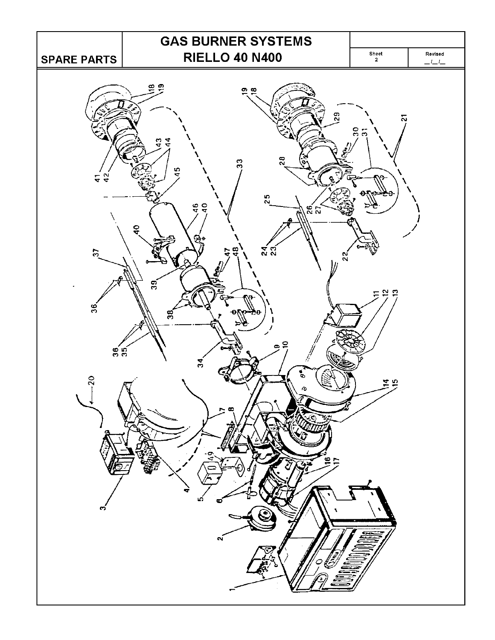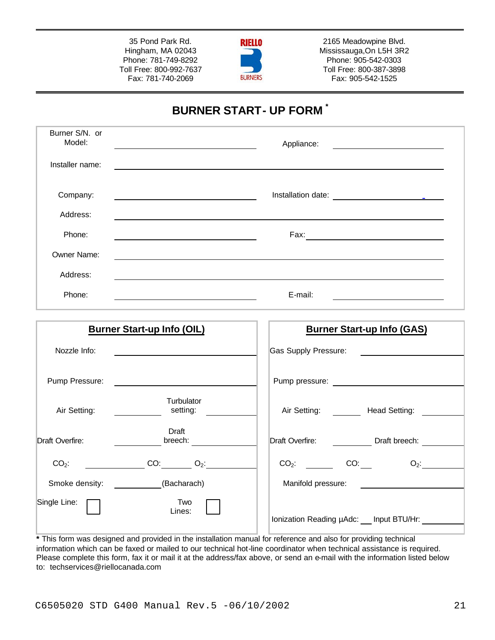35 Pond Park Rd. Hingham, MA 02043 Phone: 781-749-8292 Toll Free: 800-992-7637 Fax: 781-740-2069



2165 Meadowpine Blvd. Mississauga,On L5H 3R2 Phone: 905-542-0303 Toll Free: 800-387-3898 Fax: 905-542-1525

# **BURNER START- UP FORM \***

| Burner S/N. or<br>Model: |                                                                                                                                                                                                                                                    | Appliance:                                                                       |
|--------------------------|----------------------------------------------------------------------------------------------------------------------------------------------------------------------------------------------------------------------------------------------------|----------------------------------------------------------------------------------|
| Installer name:          |                                                                                                                                                                                                                                                    |                                                                                  |
| Company:                 | <u> 1989 - Johann Barn, fransk politik (d. 1989)</u>                                                                                                                                                                                               |                                                                                  |
| Address:                 |                                                                                                                                                                                                                                                    |                                                                                  |
| Phone:                   | <u> 1989 - Johann Stoff, Amerikaansk politiker († 1908)</u>                                                                                                                                                                                        |                                                                                  |
| Owner Name:              |                                                                                                                                                                                                                                                    | ,我们也不会有什么。""我们的人,我们也不会有什么?""我们的人,我们也不会有什么?""我们的人,我们也不会有什么?""我们的人,我们也不会有什么?""我们的人 |
| Address:                 |                                                                                                                                                                                                                                                    |                                                                                  |
| Phone:                   |                                                                                                                                                                                                                                                    | E-mail:                                                                          |
|                          | <b>Burner Start-up Info (OIL)</b>                                                                                                                                                                                                                  | <b>Burner Start-up Info (GAS)</b>                                                |
| Nozzle Info:             |                                                                                                                                                                                                                                                    | <b>Gas Supply Pressure:</b>                                                      |
| Pump Pressure:           | <u>and the state of the state of the state of the state of the state of the state of the state of the state of the state of the state of the state of the state of the state of the state of the state of the state of the state</u>               |                                                                                  |
| Air Setting:             | Turbulator<br>setting:<br>$\overline{\phantom{a}}$ and $\overline{\phantom{a}}$                                                                                                                                                                    | Air Setting: ________ Head Setting: ________                                     |
| Draft Overfire:          | Draft<br>breech:                                                                                                                                                                                                                                   | Draft Overfire: <u>Draft breech:</u>                                             |
|                          | $CO_2$ : $CO:$ $CO:$ $O_2$ :                                                                                                                                                                                                                       | $CO_2$ : $CO:$ $CO:$ $O_2$ :                                                     |
|                          | Smoke density: ___________(Bacharach)                                                                                                                                                                                                              | Manifold pressure: <u>_______________________</u>                                |
| Single Line:             | Two<br>Lines:<br>$\mathbf{r}$ . The contract of the contract of the contract of the contract of the contract of the contract of the contract of the contract of the contract of the contract of the contract of the contract of the contract of th | Ionization Reading µAdc: __ Input BTU/Hr: _________<br>. <i>. .</i>              |

**\*** This form was designed and provided in the installation manual for reference and also for providing technical information which can be faxed or mailed to our technical hot-line coordinator when technical assistance is required. Please complete this form, fax it or mail it at the address/fax above, or send an e-mail with the information listed below to: techservices@riellocanada.com